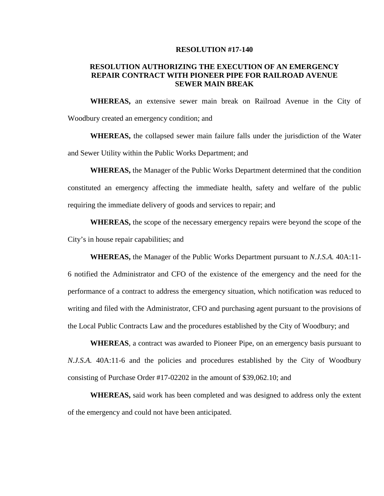#### **RESOLUTION #17-140**

### **RESOLUTION AUTHORIZING THE EXECUTION OF AN EMERGENCY REPAIR CONTRACT WITH PIONEER PIPE FOR RAILROAD AVENUE SEWER MAIN BREAK**

**WHEREAS,** an extensive sewer main break on Railroad Avenue in the City of Woodbury created an emergency condition; and

**WHEREAS,** the collapsed sewer main failure falls under the jurisdiction of the Water and Sewer Utility within the Public Works Department; and

**WHEREAS,** the Manager of the Public Works Department determined that the condition constituted an emergency affecting the immediate health, safety and welfare of the public requiring the immediate delivery of goods and services to repair; and

**WHEREAS,** the scope of the necessary emergency repairs were beyond the scope of the City's in house repair capabilities; and

**WHEREAS,** the Manager of the Public Works Department pursuant to *N.J.S.A.* 40A:11- 6 notified the Administrator and CFO of the existence of the emergency and the need for the performance of a contract to address the emergency situation, which notification was reduced to writing and filed with the Administrator, CFO and purchasing agent pursuant to the provisions of

the Local Public Contracts Law and the procedures established by the City of Woodbury; and

**WHEREAS**, a contract was awarded to Pioneer Pipe, on an emergency basis pursuant to *N.J.S.A.* 40A:11-6 and the policies and procedures established by the City of Woodbury consisting of Purchase Order #17-02202 in the amount of \$39,062.10; and

**WHEREAS,** said work has been completed and was designed to address only the extent of the emergency and could not have been anticipated.